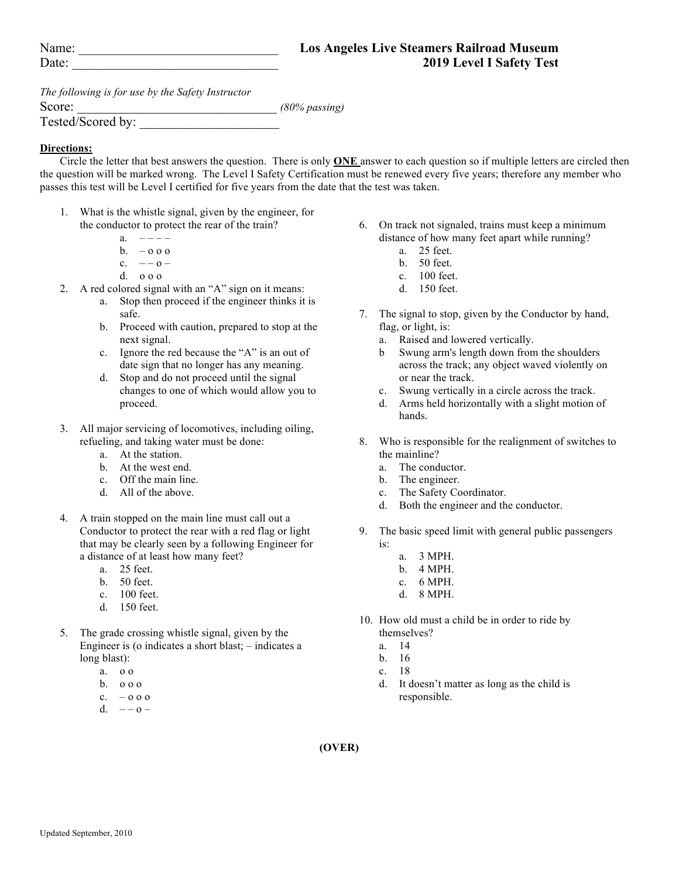| Name:        |  |
|--------------|--|
| $\Gamma$ ate |  |

*The following is for use by the Safety Instructor*

Score:  $(80\% \text{ passing})$ 

Tested/Scored by:

## **Directions:**

Circle the letter that best answers the question. There is only **ONE** answer to each question so if multiple letters are circled then the question will be marked wrong. The Level I Safety Certification must be renewed every five years; therefore any member who passes this test will be Level I certified for five years from the date that the test was taken.

- 1. What is the whistle signal, given by the engineer, for the conductor to protect the rear of the train?
	- a.  $-\frac{1}{2}$
	- b.  $-0.00$
	- c.  $-$  0 –
	- d. o o o
- 2. A red colored signal with an "A" sign on it means:
	- a. Stop then proceed if the engineer thinks it is safe.
	- b. Proceed with caution, prepared to stop at the next signal.
	- c. Ignore the red because the "A" is an out of date sign that no longer has any meaning.
	- d. Stop and do not proceed until the signal changes to one of which would allow you to proceed.
- 3. All major servicing of locomotives, including oiling, refueling, and taking water must be done:
	- a. At the station.
	- b. At the west end.
	- c. Off the main line.
	- d. All of the above.
- 4. A train stopped on the main line must call out a Conductor to protect the rear with a red flag or light that may be clearly seen by a following Engineer for a distance of at least how many feet?
	- a. 25 feet.
	- b. 50 feet.
	- c. 100 feet.
	- d. 150 feet.
- 5. The grade crossing whistle signal, given by the Engineer is (o indicates a short blast; – indicates a long blast):
	- a. o o
	- b. o o o
	- $c. 0 0 0$
	- d.  $0$  –
- 6. On track not signaled, trains must keep a minimum distance of how many feet apart while running?
	- a. 25 feet.
	- b. 50 feet.
	- c. 100 feet.
	- d. 150 feet.
- 7. The signal to stop, given by the Conductor by hand, flag, or light, is:
	- a. Raised and lowered vertically.
	- b Swung arm's length down from the shoulders across the track; any object waved violently on or near the track.
	- c. Swung vertically in a circle across the track.
	- d. Arms held horizontally with a slight motion of hands.
- 8. Who is responsible for the realignment of switches to the mainline?
	- a. The conductor.
	- b. The engineer.
	- c. The Safety Coordinator.
	- d. Both the engineer and the conductor.
- 9. The basic speed limit with general public passengers is:
	- a. 3 MPH.
	- b. 4 MPH.
	- c. 6 MPH.
	- d. 8 MPH.
- 10. How old must a child be in order to ride by themselves?
	- a. 14
	- b. 16
	- c. 18
	- d. It doesn't matter as long as the child is responsible.

**(OVER)**